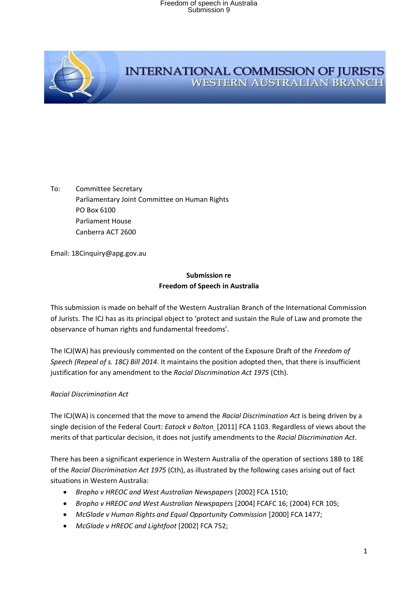

#### **INTERNATIONAL COMMISSION OF JURISTS WESTERN AUSTRALIAN BRANCH**

To: Committee Secretary Parliamentary Joint Committee on Human Rights PO Box 6100 Parliament House Canberra ACT 2600

Email: 18Cinquiry@apg.gov.au

#### **Submission re Freedom of Speech in Australia**

This submission is made on behalf of the Western Australian Branch of the International Commission of Jurists. The ICJ has as its principal object to 'protect and sustain the Rule of Law and promote the observance of human rights and fundamental freedoms'.

The ICJ(WA) has previously commented on the content of the Exposure Draft of the *Freedom of Speech (Repeal of s. 18C) Bill 2014*. It maintains the position adopted then, that there is insufficient justification for any amendment to the *Racial Discrimination Act 1975* (Cth).

#### *Racial Discrimination Act*

The ICJ(WA) is concerned that the move to amend the *Racial Discrimination Act* is being driven by a single decision of the Federal Court: *Eatock v Bolton* [2011] FCA 1103. Regardless of views about the merits of that particular decision, it does not justify amendments to the *Racial Discrimination Act*.

There has been a significant experience in Western Australia of the operation of sections 18B to 18E of the *Racial Discrimination Act 1975* (Cth), as illustrated by the following cases arising out of fact situations in Western Australia:

- *Bropho v HREOC and West Australian Newspapers* [2002] FCA 1510;
- *Bropho v HREOC and West Australian Newspapers* [2004] FCAFC 16; (2004) FCR 105;
- *McGlade v Human Rights and Equal Opportunity Commission* [2000] FCA 1477;
- *McGlade v HREOC and Lightfoot* [2002] FCA 752;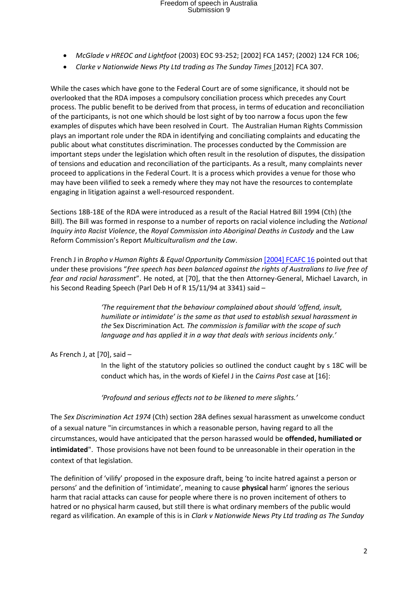- *McGlade v HREOC and Lightfoot* (2003) EOC 93-252; [2002] FCA 1457; (2002) 124 FCR 106;
- *Clarke v Nationwide News Pty Ltd trading as The Sunday Times* [2012] FCA 307.

While the cases which have gone to the Federal Court are of some significance, it should not be overlooked that the RDA imposes a compulsory conciliation process which precedes any Court process. The public benefit to be derived from that process, in terms of education and reconciliation of the participants, is not one which should be lost sight of by too narrow a focus upon the few examples of disputes which have been resolved in Court. The Australian Human Rights Commission plays an important role under the RDA in identifying and conciliating complaints and educating the public about what constitutes discrimination. The processes conducted by the Commission are important steps under the legislation which often result in the resolution of disputes, the dissipation of tensions and education and reconciliation of the participants. As a result, many complaints never proceed to applications in the Federal Court. It is a process which provides a venue for those who may have been vilified to seek a remedy where they may not have the resources to contemplate engaging in litigation against a well-resourced respondent.

Sections 18B-18E of the RDA were introduced as a result of the Racial Hatred Bill 1994 (Cth) (the Bill). The Bill was formed in response to a number of reports on racial violence including the *National Inquiry into Racist Violence*, the *Royal Commission into Aboriginal Deaths in Custody* and the Law Reform Commission's Report *Multiculturalism and the Law*.

French J in *Bropho v Human Rights & Equal Opportunity Commission* [\[2004\] FCAFC 16](http://www.austlii.edu.au/au/cases/cth/FCAFC/2004/16.html) pointed out that under these provisions "*free speech has been balanced against the rights of Australians to live free of fear and racial harassment*". He noted, at [70], that the then Attorney-General, Michael Lavarch, in his Second Reading Speech (Parl Deb H of R 15/11/94 at 3341) said –

> *'The requirement that the behaviour complained about should 'offend, insult, humiliate or intimidate' is the same as that used to establish sexual harassment in the* Sex Discrimination Act*. The commission is familiar with the scope of such language and has applied it in a way that deals with serious incidents only.'*

As French J, at [70], said –

In the light of the statutory policies so outlined the conduct caught by s 18C will be conduct which has, in the words of Kiefel J in the *Cairns Post* case at [16]:

*'Profound and serious effects not to be likened to mere slights.'*

The *Sex Discrimination Act 1974* (Cth) section 28A defines sexual harassment as unwelcome conduct of a sexual nature "in circumstances in which a reasonable person, having regard to all the circumstances, would have anticipated that the person harassed would be **offended, humiliated or intimidated**". Those provisions have not been found to be unreasonable in their operation in the context of that legislation.

The definition of 'vilify' proposed in the exposure draft, being 'to incite hatred against a person or persons' and the definition of 'intimidate', meaning to cause **physical** harm' ignores the serious harm that racial attacks can cause for people where there is no proven incitement of others to hatred or no physical harm caused, but still there is what ordinary members of the public would regard as vilification. An example of this is in *Clark v Nationwide News Pty Ltd trading as The Sunday*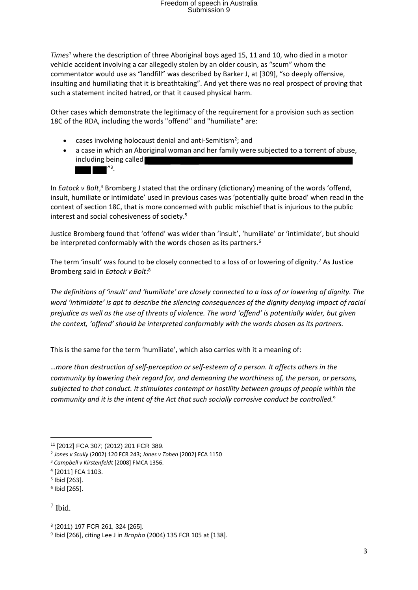*Times<sup>1</sup>* where the description of three Aboriginal boys aged 15, 11 and 10, who died in a motor vehicle accident involving a car allegedly stolen by an older cousin, as "scum" whom the commentator would use as "landfill" was described by Barker J, at [309], "so deeply offensive, insulting and humiliating that it is breathtaking". And yet there was no real prospect of proving that such a statement incited hatred, or that it caused physical harm.

Other cases which demonstrate the legitimacy of the requirement for a provision such as section 18C of the RDA, including the words "offend" and "humiliate" are:

- cases involving holocaust denial and anti-Semitism<sup>2</sup>; and
- a case in which an Aboriginal woman and her family were subjected to a torrent of abuse, including being called  $^{\prime\prime}$ .

In *Eatock v Bolt*,<sup>4</sup> Bromberg J stated that the ordinary (dictionary) meaning of the words 'offend, insult, humiliate or intimidate' used in previous cases was 'potentially quite broad' when read in the context of section 18C, that is more concerned with public mischief that is injurious to the public interest and social cohesiveness of society.<sup>5</sup>

Justice Bromberg found that 'offend' was wider than 'insult', 'humiliate' or 'intimidate', but should be interpreted conformably with the words chosen as its partners.<sup>6</sup>

The term 'insult' was found to be closely connected to a loss of or lowering of dignity.<sup>7</sup> As Justice Bromberg said in *Eatock v Bolt*: 8

*The definitions of 'insult' and 'humiliate' are closely connected to a loss of or lowering of dignity. The word 'intimidate' is apt to describe the silencing consequences of the dignity denying impact of racial prejudice as well as the use of threats of violence. The word 'offend' is potentially wider, but given the context, 'offend' should be interpreted conformably with the words chosen as its partners.*

This is the same for the term 'humiliate', which also carries with it a meaning of:

*…more than destruction of self-perception or self-esteem of a person. It affects others in the community by lowering their regard for, and demeaning the worthiness of, the person, or persons, subjected to that conduct. It stimulates contempt or hostility between groups of people within the community and it is the intent of the Act that such socially corrosive conduct be controlled.*<sup>9</sup>

<sup>11</sup> [2012] FCA 307; (2012) 201 FCR 389.

<sup>2</sup> *Jones v Scully* (2002) 120 FCR 243; *Jones v Toben* [2002] FCA 1150

<sup>3</sup> *Campbell v Kirstenfeldt* [2008] FMCA 1356.

<sup>4</sup> [2011] FCA 1103.

<sup>5</sup> Ibid [263].

<sup>6</sup> Ibid [265].

<sup>7</sup> Ibid.

<sup>8</sup> (2011) 197 FCR 261, 324 [265].

<sup>9</sup> Ibid [266], citing Lee J in *Bropho* (2004) 135 FCR 105 at [138]*.*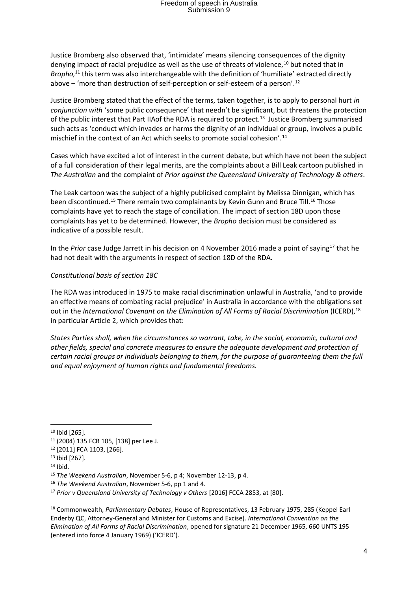Justice Bromberg also observed that, 'intimidate' means silencing consequences of the dignity denying impact of racial prejudice as well as the use of threats of violence, $10$  but noted that in *Bropho,*<sup>11</sup> this term was also interchangeable with the definition of 'humiliate' extracted directly above – 'more than destruction of self-perception or self-esteem of a person'.<sup>12</sup>

Justice Bromberg stated that the effect of the terms, taken together, is to apply to personal hurt *in conjunction with* 'some public consequence' that needn't be significant, but threatens the protection of the public interest that Part IIAof the RDA is required to protect.<sup>13</sup> Justice Bromberg summarised such acts as 'conduct which invades or harms the dignity of an individual or group, involves a public mischief in the context of an Act which seeks to promote social cohesion'.<sup>14</sup>

Cases which have excited a lot of interest in the current debate, but which have not been the subject of a full consideration of their legal merits, are the complaints about a Bill Leak cartoon published in *The Australian* and the complaint of *Prior against the Queensland University of Technology & others*.

The Leak cartoon was the subject of a highly publicised complaint by Melissa Dinnigan, which has been discontinued.<sup>15</sup> There remain two complainants by Kevin Gunn and Bruce Till.<sup>16</sup> Those complaints have yet to reach the stage of conciliation. The impact of section 18D upon those complaints has yet to be determined. However, the *Bropho* decision must be considered as indicative of a possible result.

In the *Prior* case Judge Jarrett in his decision on 4 November 2016 made a point of saying<sup>17</sup> that he had not dealt with the arguments in respect of section 18D of the RDA.

#### *Constitutional basis of section 18C*

The RDA was introduced in 1975 to make racial discrimination unlawful in Australia, 'and to provide an effective means of combating racial prejudice' in Australia in accordance with the obligations set out in the *International Covenant on the Elimination of All Forms of Racial Discrimination* (ICERD),<sup>18</sup> in particular Article 2, which provides that:

*States Parties shall, when the circumstances so warrant, take, in the social, economic, cultural and other fields, special and concrete measures to ensure the adequate development and protection of certain racial groups or individuals belonging to them, for the purpose of guaranteeing them the full and equal enjoyment of human rights and fundamental freedoms.*

<sup>10</sup> Ibid [265].

<sup>11</sup> (2004) 135 FCR 105, [138] per Lee J.

<sup>12</sup> [2011] FCA 1103, [266].

<sup>13</sup> Ibid [267].

 $14$  Ibid.

<sup>15</sup> *The Weekend Australian*, November 5-6, p 4; November 12-13, p 4.

<sup>16</sup> *The Weekend Australian*, November 5-6, pp 1 and 4.

<sup>&</sup>lt;sup>17</sup> Prior v Queensland University of Technology v Others [2016] FCCA 2853, at [80].

<sup>18</sup> Commonwealth, *Parliamentary Debates*, House of Representatives, 13 February 1975, 285 (Keppel Earl Enderby QC, Attorney-General and Minister for Customs and Excise). *International Convention on the Elimination of All Forms of Racial Discrimination*, opened for signature 21 December 1965, 660 UNTS 195 (entered into force 4 January 1969) ('ICERD').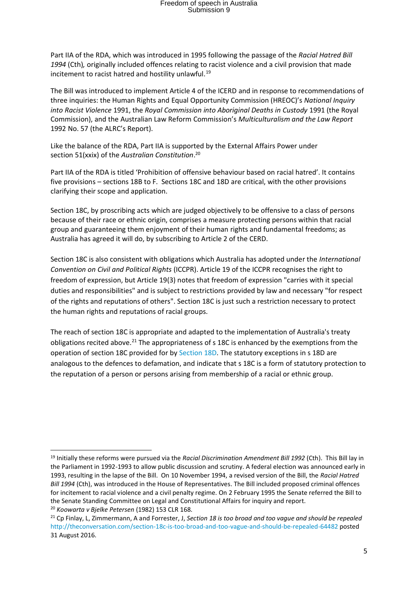Part IIA of the RDA, which was introduced in 1995 following the passage of the *Racial Hatred Bill 1994* (Cth)*,* originally included offences relating to racist violence and a civil provision that made incitement to racist hatred and hostility unlawful.<sup>19</sup>

The Bill was introduced to implement Article 4 of the ICERD and in response to recommendations of three inquiries: the Human Rights and Equal Opportunity Commission (HREOC)'s *National Inquiry into Racist Violence* 1991, the *Royal Commission into Aboriginal Deaths in Custody* 1991 (the Royal Commission), and the Australian Law Reform Commission's *Multiculturalism and the Law Report* 1992 No. 57 (the ALRC's Report).

Like the balance of the RDA, Part IIA is supported by the External Affairs Power under section 51(xxix) of the *Australian Constitution*. 20

Part IIA of the RDA is titled 'Prohibition of offensive behaviour based on racial hatred'. It contains five provisions – sections 18B to F. Sections 18C and 18D are critical, with the other provisions clarifying their scope and application.

Section 18C, by proscribing acts which are judged objectively to be offensive to a class of persons because of their race or ethnic origin, comprises a measure protecting persons within that racial group and guaranteeing them enjoyment of their human rights and fundamental freedoms; as Australia has agreed it will do, by subscribing to Article 2 of the CERD.

Section 18C is also consistent with obligations which Australia has adopted under the *International Convention on Civil and Political Rights* (ICCPR). Article 19 of the ICCPR recognises the right to freedom of expression, but Article 19(3) notes that freedom of expression "carries with it special duties and responsibilities" and is subject to restrictions provided by law and necessary "for respect of the rights and reputations of others". Section 18C is just such a restriction necessary to protect the human rights and reputations of racial groups.

The reach of section 18C is appropriate and adapted to the implementation of Australia's treaty obligations recited above.<sup>21</sup> The appropriateness of  $s$  18C is enhanced by the exemptions from the operation of section 18C provided for by [Section](http://www.austlii.edu.au/au/legis/cth/consol_act/rda1975202/s18d.html) 18D. The statutory exceptions in s 18D are analogous to the defences to defamation, and indicate that s 18C is a form of statutory protection to the reputation of a person or persons arising from membership of a racial or ethnic group.

.

<sup>19</sup> Initially these reforms were pursued via the *Racial Discrimination Amendment Bill 1992* (Cth). This Bill lay in the Parliament in 1992-1993 to allow public discussion and scrutiny. A federal election was announced early in 1993, resulting in the lapse of the Bill. On 10 November 1994, a revised version of the Bill, the *Racial Hatred Bill 1994* (Cth), was introduced in the House of Representatives. The Bill included proposed criminal offences for incitement to racial violence and a civil penalty regime. On 2 February 1995 the Senate referred the Bill to the Senate Standing Committee on Legal and Constitutional Affairs for inquiry and report.

<sup>20</sup> *Koowarta v Bjelke Petersen* (1982) 153 CLR 168.

<sup>21</sup> Cp Finlay, L, Zimmermann, A and Forrester, J, *Section 18 is too broad and too vague and should be repealed*  <http://theconversation.com/section-18c-is-too-broad-and-too-vague-and-should-be-repealed-64482> posted 31 August 2016.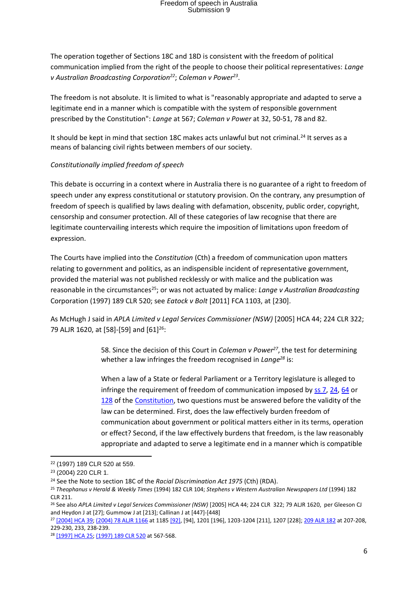The operation together of Sections 18C and 18D is consistent with the freedom of political communication implied from the right of the people to choose their political representatives: *Lange v Australian Broadcasting Corporation<sup>22</sup>*; *Coleman v Power<sup>23</sup>* .

The freedom is not absolute. It is limited to what is "reasonably appropriate and adapted to serve a legitimate end in a manner which is compatible with the system of responsible government prescribed by the Constitution": *Lange* at 567; *Coleman v Power* at 32, 50-51, 78 and 82.

It should be kept in mind that section 18C makes acts unlawful but not criminal.<sup>24</sup> It serves as a means of balancing civil rights between members of our society.

#### *Constitutionally implied freedom of speech*

This debate is occurring in a context where in Australia there is no guarantee of a right to freedom of speech under any express constitutional or statutory provision. On the contrary, any presumption of freedom of speech is qualified by laws dealing with defamation, obscenity, public order, copyright, censorship and consumer protection. All of these categories of law recognise that there are legitimate countervailing interests which require the imposition of limitations upon freedom of expression.

The Courts have implied into the *Constitution* (Cth) a freedom of communication upon matters relating to government and politics, as an indispensible incident of representative government, provided the material was not published recklessly or with malice and the publication was reasonable in the circumstances<sup>25</sup>; or was not actuated by malice: *Lange v Australian Broadcasting* Corporation (1997) 189 CLR 520; see *Eatock v Bolt* [2011] FCA 1103, at [230].

As McHugh J said in *APLA Limited v Legal Services Commissioner (NSW)* [2005] HCA 44; 224 CLR 322; 79 ALJR 1620, at [58]-[59] and [61]<sup>26</sup>:

> 58. Since the decision of this Court in *Coleman v Power<sup>27</sup>*, the test for determining whether a law infringes the freedom recognised in *Lange<sup>28</sup>* is:

When a law of a State or federal Parliament or a Territory legislature is alleged to infringe the requirement of freedom of communication imposed by [ss](http://www.austlii.edu.au/au/legis/cth/consol_act/coaca430/s7.html) 7, [24,](http://www.austlii.edu.au/au/legis/cth/consol_act/coaca430/s24.html) [64](http://www.austlii.edu.au/au/legis/cth/consol_act/coaca430/s64.html) or [128](http://www.austlii.edu.au/au/legis/cth/consol_act/coaca430/s128.html) of the [Constitution,](http://www.austlii.edu.au/au/legis/cth/consol_act/coaca430/) two questions must be answered before the validity of the law can be determined. First, does the law effectively burden freedom of communication about government or political matters either in its terms, operation or effect? Second, if the law effectively burdens that freedom, is the law reasonably appropriate and adapted to serve a legitimate end in a manner which is compatible

<sup>22</sup> (1997) 189 CLR 520 at 559.

<sup>23</sup> (2004) 220 CLR 1.

<sup>24</sup> See the Note to section 18C of the *Racial Discrimination Act 1975* (Cth) (RDA).

<sup>25</sup> *Theophanus v Herald & Weekly Times* (1994) 182 CLR 104; *Stephens v Western Australian Newspapers Ltd* (1994) 182 CLR 211.

<sup>&</sup>lt;sup>26</sup> See also APLA Limited v Legal Services Commissioner (NSW) [2005] HCA 44; 224 CLR 322; 79 ALJR 1620, per Gleeson CJ and Heydon J at [27]; Gummow J at [213]; Callinan J at [447]-[448]

<sup>27</sup> [\[2004\] HCA 39;](http://www.austlii.edu.au/au/cases/cth/HCA/2004/39.html) [\(2004\) 78 ALJR 1166](http://www.austlii.edu.au/cgi-bin/LawCite?cit=%282004%29%2078%20ALJR%201166) at 118[5 \[92\],](http://www.austlii.edu.au/au/cases/cth/HCA/2004/39.html#para92) [94], 1201 [196], 1203-1204 [211], 1207 [228][; 209 ALR 182](http://www.austlii.edu.au/cgi-bin/LawCite?cit=209%20ALR%20182) at 207-208, 229-230, 233, 238-239.

<sup>28</sup> [\[1997\] HCA 25;](http://www.austlii.edu.au/au/cases/cth/HCA/1997/25.html) [\(1997\) 189 CLR 520](http://www.austlii.edu.au/cgi-bin/LawCite?cit=%281997%29%20189%20CLR%20520) at 567-568.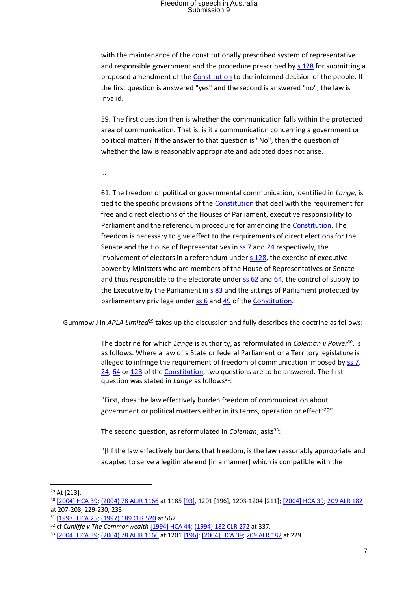with the maintenance of the constitutionally prescribed system of representative and responsible government and the procedure prescribed by [s 128](http://www.austlii.edu.au/au/legis/cth/consol_act/coaca430/s128.html) for submitting a proposed amendment of the [Constitution](http://www.austlii.edu.au/au/legis/cth/consol_act/coaca430/) to the informed decision of the people. If the first question is answered "yes" and the second is answered "no", the law is invalid.

59. The first question then is whether the communication falls within the protected area of communication. That is, is it a communication concerning a government or political matter? If the answer to that question is "No", then the question of whether the law is reasonably appropriate and adapted does not arise.

…

61. The freedom of political or governmental communication, identified in *Lange*, is tied to the specific provisions of the [Constitution](http://www.austlii.edu.au/au/legis/cth/consol_act/coaca430/) that deal with the requirement for free and direct elections of the Houses of Parliament, executive responsibility to Parliament and the referendum procedure for amending the **Constitution**. The freedom is necessary to give effect to the requirements of direct elections for the Senate and the House of Representatives i[n ss 7](http://www.austlii.edu.au/au/legis/cth/consol_act/coaca430/s7.html) and [24](http://www.austlii.edu.au/au/legis/cth/consol_act/coaca430/s24.html) respectively, the involvement of electors in a referendum under s [128,](http://www.austlii.edu.au/au/legis/cth/consol_act/coaca430/s128.html) the exercise of executive power by Ministers who are members of the House of Representatives or Senate and thus responsible to the electorate under  $\frac{1}{25}$  62 and  $\frac{64}{10}$ , the control of supply to the Executive by the Parliament i[n s 83](http://www.austlii.edu.au/au/legis/cth/consol_act/coaca430/s83.html) and the sittings of Parliament protected by parliamentary privilege under  $\underline{s s 6}$  and  $\underline{49}$  of th[e Constitution.](http://www.austlii.edu.au/au/legis/cth/consol_act/coaca430/)

Gummow J in *APLA Limited*<sup>29</sup> takes up the discussion and fully describes the doctrine as follows:

The doctrine for which *Lange* is authority, as reformulated in *Coleman v Power<sup>30</sup>*, is as follows. Where a law of a State or federal Parliament or a Territory legislature is alleged to infringe the requirement of freedom of communication imposed by [ss](http://www.austlii.edu.au/au/legis/cth/consol_act/coaca430/s7.html) 7, [24,](http://www.austlii.edu.au/au/legis/cth/consol_act/coaca430/s24.html) [64](http://www.austlii.edu.au/au/legis/cth/consol_act/coaca430/s64.html) or [128](http://www.austlii.edu.au/au/legis/cth/consol_act/coaca430/s128.html) of the [Constitution,](http://www.austlii.edu.au/au/legis/cth/consol_act/coaca430/) two questions are to be answered. The first question was stated in *Lange* as follows<sup>31</sup>:

"First, does the law effectively burden freedom of communication about government or political matters either in its terms, operation or effect<sup>32</sup>?"

The second question, as reformulated in *Coleman*, asks<sup>33</sup>:

"[I]f the law effectively burdens that freedom, is the law reasonably appropriate and adapted to serve a legitimate end [in a manner] which is compatible with the

.

<sup>29</sup> At [213].

<sup>30</sup> [\[2004\] HCA 39;](http://www.austlii.edu.au/au/cases/cth/HCA/2004/39.html) [\(2004\) 78 ALJR 1166](http://www.austlii.edu.au/cgi-bin/LawCite?cit=%282004%29%2078%20ALJR%201166) at 118[5 \[93\],](http://www.austlii.edu.au/au/cases/cth/HCA/2004/39.html#para93) 1201 [196], 1203-1204 [211]; [\[2004\] HCA 39;](http://www.austlii.edu.au/au/cases/cth/HCA/2004/39.html) [209 ALR 182](http://www.austlii.edu.au/cgi-bin/LawCite?cit=209%20ALR%20182) at 207-208, 229-230, 233.

<sup>31</sup> [\[1997\] HCA 25;](http://www.austlii.edu.au/au/cases/cth/HCA/1997/25.html) [\(1997\) 189 CLR 520](http://www.austlii.edu.au/cgi-bin/LawCite?cit=%281997%29%20189%20CLR%20520) at 567.

<sup>32</sup> cf *Cunliffe v The Commonwealth* [\[1994\] HCA 44;](http://www.austlii.edu.au/au/cases/cth/HCA/1994/44.html) [\(1994\) 182 CLR 272](http://www.austlii.edu.au/cgi-bin/LawCite?cit=%281994%29%20182%20CLR%20272) at 337.

<sup>33</sup> [\[2004\] HCA 39;](http://www.austlii.edu.au/au/cases/cth/HCA/2004/39.html) [\(2004\) 78 ALJR 1166](http://www.austlii.edu.au/cgi-bin/LawCite?cit=%282004%29%2078%20ALJR%201166) at 1201 [\[196\];](http://www.austlii.edu.au/au/cases/cth/HCA/2004/39.html#para196) [\[2004\] HCA 39;](http://www.austlii.edu.au/au/cases/cth/HCA/2004/39.html) [209 ALR 182](http://www.austlii.edu.au/cgi-bin/LawCite?cit=209%20ALR%20182) at 229.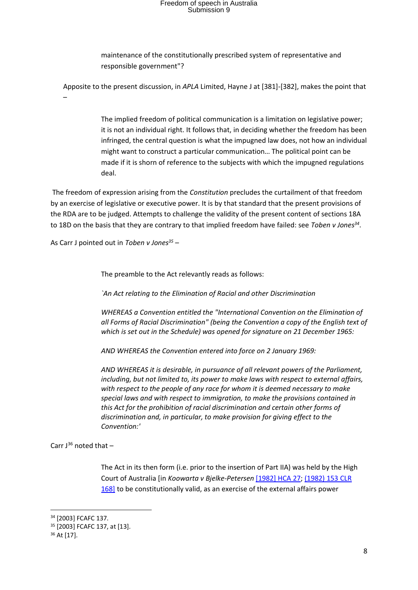maintenance of the constitutionally prescribed system of representative and responsible government"?

Apposite to the present discussion, in *APLA* Limited, Hayne J at [381]-[382], makes the point that –

> The implied freedom of political communication is a limitation on legislative power; it is not an individual right. It follows that, in deciding whether the freedom has been infringed, the central question is what the impugned law does, not how an individual might want to construct a particular communication… The political point can be made if it is shorn of reference to the subjects with which the impugned regulations deal.

The freedom of expression arising from the *Constitution* precludes the curtailment of that freedom by an exercise of legislative or executive power. It is by that standard that the present provisions of the RDA are to be judged. Attempts to challenge the validity of the present content of sections 18A to 18D on the basis that they are contrary to that implied freedom have failed: see *Toben v Jones<sup>34</sup>* .

As Carr J pointed out in *Toben v Jones<sup>35</sup>* –

The preamble to the Act relevantly reads as follows:

*`An Act relating to the Elimination of Racial and other Discrimination*

*WHEREAS a Convention entitled the "International Convention on the Elimination of all Forms of Racial Discrimination" (being the Convention a copy of the English text of which is set out in the Schedule) was opened for signature on 21 December 1965:*

*AND WHEREAS the Convention entered into force on 2 January 1969:*

*AND WHEREAS it is desirable, in pursuance of all relevant powers of the Parliament, including, but not limited to, its power to make laws with respect to external affairs, with respect to the people of any race for whom it is deemed necessary to make special laws and with respect to immigration, to make the provisions contained in this Act for the prohibition of racial discrimination and certain other forms of discrimination and, in particular, to make provision for giving effect to the Convention:'* 

Carr  $J^{36}$  noted that  $-$ 

The Act in its then form (i.e. prior to the insertion of Part IIA) was held by the High Court of Australia [in *Koowarta v Bjelke-Petersen* [\[1982\] HCA 27;](http://www.austlii.edu.au/au/cases/cth/HCA/1982/27.html) [\(1982\) 153 CLR](http://www.austlii.edu.au/cgi-bin/LawCite?cit=%281982%29%20153%20CLR%20168?stem=0&synonyms=0&query=racial%20villification)  [168\]](http://www.austlii.edu.au/cgi-bin/LawCite?cit=%281982%29%20153%20CLR%20168?stem=0&synonyms=0&query=racial%20villification) to be constitutionally valid, as an exercise of the external affairs power

<sup>34</sup> [2003] FCAFC 137.

<sup>35</sup> [2003] FCAFC 137, at [13].

<sup>36</sup> At [17].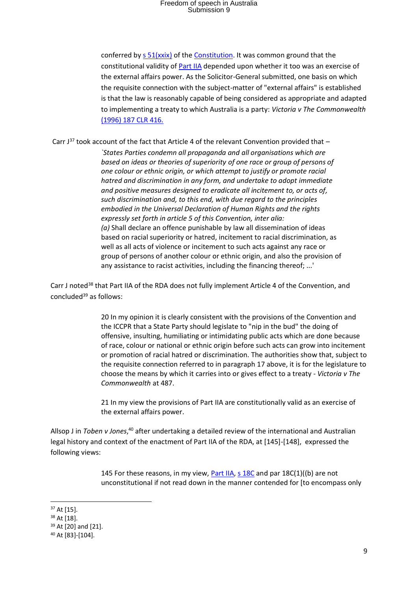conferred by  $s$  51( $x$ xix) of th[e Constitution.](http://www.austlii.edu.au/au/legis/cth/consol_act/coaca430/) It was common ground that the constitutional validity o[f Part IIA](http://www.austlii.edu.au/au/legis/cth/consol_act/coaca430/index.html#p2a) depended upon whether it too was an exercise of the external affairs power. As the Solicitor-General submitted, one basis on which the requisite connection with the subject-matter of "external affairs" is established is that the law is reasonably capable of being considered as appropriate and adapted to implementing a treaty to which Australia is a party: *Victoria v The Commonwealth*  [\(1996\) 187 CLR 416.](http://www.austlii.edu.au/cgi-bin/LawCite?cit=%281996%29%20187%20CLR%20416?stem=0&synonyms=0&query=racial%20villification) 

Carr  $J^{37}$  took account of the fact that Article 4 of the relevant Convention provided that  $-$ 

*`States Parties condemn all propaganda and all organisations which are based on ideas or theories of superiority of one race or group of persons of one colour or ethnic origin, or which attempt to justify or promote racial hatred and discrimination in any form, and undertake to adopt immediate and positive measures designed to eradicate all incitement to, or acts of, such discrimination and, to this end, with due regard to the principles embodied in the Universal Declaration of Human Rights and the rights expressly set forth in article 5 of this Convention, inter alia: (a)* Shall declare an offence punishable by law all dissemination of ideas based on racial superiority or hatred, incitement to racial discrimination, as well as all acts of violence or incitement to such acts against any race or group of persons of another colour or ethnic origin, and also the provision of any assistance to racist activities, including the financing thereof; ...'

Carr J noted<sup>38</sup> that Part IIA of the RDA does not fully implement Article 4 of the Convention, and concluded<sup>39</sup> as follows:

> 20 In my opinion it is clearly consistent with the provisions of the Convention and the ICCPR that a State Party should legislate to "nip in the bud" the doing of offensive, insulting, humiliating or intimidating public acts which are done because of race, colour or national or ethnic origin before such acts can grow into incitement or promotion of racial hatred or discrimination. The authorities show that, subject to the requisite connection referred to in paragraph 17 above, it is for the legislature to choose the means by which it carries into or gives effect to a treaty - *Victoria v The Commonwealth* at 487.

21 In my view the provisions of Part IIA are constitutionally valid as an exercise of the external affairs power.

Allsop J in Toben v Jones,<sup>40</sup> after undertaking a detailed review of the international and Australian legal history and context of the enactment of Part IIA of the RDA, at [145]-[148], expressed the following views:

> 145 For these reasons, in my view, [Part IIA,](http://www.austlii.edu.au/au/legis/cth/consol_act/aia1901230/index.html#p2a) [s 18C](http://www.austlii.edu.au/au/legis/cth/consol_act/aia1901230/s18c.html) and par 18C(1)((b) are not unconstitutional if not read down in the manner contended for [to encompass only

<sup>37</sup> At [15].

<sup>38</sup> At [18].

<sup>39</sup> At [20] and [21].

<sup>40</sup> At [83]-[104].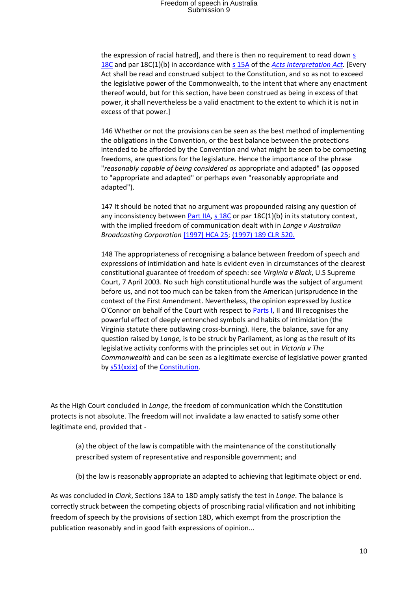the expression of racial hatred], and there is then no requirement to read down  $\frac{1}{2}$ [18C](http://www.austlii.edu.au/au/legis/cth/consol_act/aia1901230/s18c.html) and par 18C(1)(b) in accordance with s [15A](http://www.austlii.edu.au/au/legis/cth/consol_act/aia1901230/s15a.html) of the *[Acts Interpretation Act.](http://www.austlii.edu.au/au/legis/cth/consol_act/aia1901230/)* [Every Act shall be read and construed subject to the Constitution, and so as not to exceed the legislative power of the Commonwealth, to the intent that where any enactment thereof would, but for this section, have been construed as being in excess of that power, it shall nevertheless be a valid enactment to the extent to which it is not in excess of that power.]

146 Whether or not the provisions can be seen as the best method of implementing the obligations in the Convention, or the best balance between the protections intended to be afforded by the Convention and what might be seen to be competing freedoms, are questions for the legislature. Hence the importance of the phrase "*reasonably capable of being considered as* appropriate and adapted" (as opposed to "appropriate and adapted" or perhaps even "reasonably appropriate and adapted").

147 It should be noted that no argument was propounded raising any question of any inconsistency between **Part IIA, [s 18C](http://www.austlii.edu.au/au/legis/cth/consol_act/aia1901230/s18c.html)** or par  $18C(1)(b)$  in its statutory context, with the implied freedom of communication dealt with in *Lange v Australian Broadcasting Corporation* [\[1997\] HCA 25;](http://www.austlii.edu.au/au/cases/cth/HCA/1997/25.html) [\(1997\) 189 CLR 520.](http://www.austlii.edu.au/cgi-bin/LawCite?cit=%281997%29%20189%20CLR%20520?stem=0&synonyms=0&query=racial%20villification)

148 The appropriateness of recognising a balance between freedom of speech and expressions of intimidation and hate is evident even in circumstances of the clearest constitutional guarantee of freedom of speech: see *Virginia v Black*, U.S Supreme Court, 7 April 2003. No such high constitutional hurdle was the subject of argument before us, and not too much can be taken from the American jurisprudence in the context of the First Amendment. Nevertheless, the opinion expressed by Justice O'Connor on behalf of the Court with respect to [Parts I,](http://www.austlii.edu.au/au/legis/cth/consol_act/aia1901230/index.html#p1) II and III recognises the powerful effect of deeply entrenched symbols and habits of intimidation (the Virginia statute there outlawing cross-burning). Here, the balance, save for any question raised by *Lange,* is to be struck by Parliament, as long as the result of its legislative activity conforms with the principles set out in *Victoria v The Commonwealth* and can be seen as a legitimate exercise of legislative power granted by  $s51(xxix)$  of th[e Constitution.](http://www.austlii.edu.au/au/legis/cth/consol_act/coaca430/)

As the High Court concluded in *Lange*, the freedom of communication which the Constitution protects is not absolute. The freedom will not invalidate a law enacted to satisfy some other legitimate end, provided that -

(a) the object of the law is compatible with the maintenance of the constitutionally prescribed system of representative and responsible government; and

(b) the law is reasonably appropriate an adapted to achieving that legitimate object or end.

As was concluded in *Clark*, Sections 18A to 18D amply satisfy the test in *Lange*. The balance is correctly struck between the competing objects of proscribing racial vilification and not inhibiting freedom of speech by the provisions of section 18D, which exempt from the proscription the publication reasonably and in good faith expressions of opinion...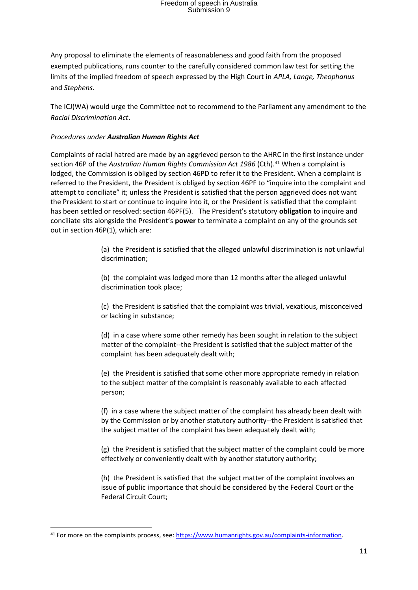Any proposal to eliminate the elements of reasonableness and good faith from the proposed exempted publications, runs counter to the carefully considered common law test for setting the limits of the implied freedom of speech expressed by the High Court in *APLA, Lange, Theophanus*  and *Stephens.*

The ICJ(WA) would urge the Committee not to recommend to the Parliament any amendment to the *Racial Discrimination Act*.

#### *Procedures under Australian Human Rights Act*

Complaints of racial hatred are made by an aggrieved person to the AHRC in the first instance under section 46P of the *Australian Human Rights Commission Act 1986* (Cth).<sup>41</sup> When a complaint is lodged, the Commission is obliged by section 46PD to refer it to the President. When a complaint is referred to the President, the President is obliged by section 46PF to "inquire into the complaint and attempt to conciliate" it; unless the President is satisfied that the person aggrieved does not want the President to start or continue to inquire into it, or the President is satisfied that the complaint has been settled or resolved: section 46PF(5). The President's statutory **obligation** to inquire and conciliate sits alongside the President's **power** to terminate a complaint on any of the grounds set out in section 46P(1), which are:

> (a) the President is satisfied that the alleged unlawful discrimination is not unlawful discrimination;

(b) the complaint was lodged more than 12 months after the alleged unlawful discrimination took place;

(c) the President is satisfied that the complaint was trivial, vexatious, misconceived or lacking in substance;

(d) in a case where some other remedy has been sought in relation to the subject matter of the complaint--the President is satisfied that the subject matter of the complaint has been adequately dealt with;

(e) the President is satisfied that some other more appropriate remedy in relation to the subject matter of the complaint is reasonably available to each affected person;

(f) in a case where the subject matter of the complaint has already been dealt with by the Commission or by another statutory authority--the President is satisfied that the subject matter of the complaint has been adequately dealt with;

(g) the President is satisfied that the subject matter of the complaint could be more effectively or conveniently dealt with by another statutory authority;

(h) the President is satisfied that the subject matter of the complaint involves an issue of public importance that should be considered by the Federal Court or the Federal Circuit Court;

<sup>41</sup> For more on the complaints process, see[: https://www.humanrights.gov.au/complaints-information.](https://www.humanrights.gov.au/complaints-information)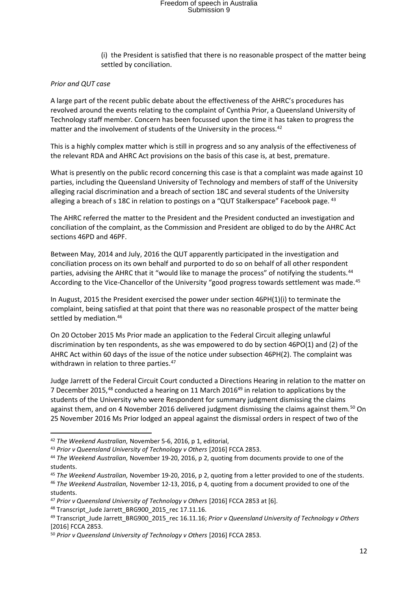(i) the President is satisfied that there is no reasonable prospect of the matter being settled by conciliation.

#### *Prior and QUT case*

A large part of the recent public debate about the effectiveness of the AHRC's procedures has revolved around the events relating to the complaint of Cynthia Prior, a Queensland University of Technology staff member. Concern has been focussed upon the time it has taken to progress the matter and the involvement of students of the University in the process.<sup>42</sup>

This is a highly complex matter which is still in progress and so any analysis of the effectiveness of the relevant RDA and AHRC Act provisions on the basis of this case is, at best, premature.

What is presently on the public record concerning this case is that a complaint was made against 10 parties, including the Queensland University of Technology and members of staff of the University alleging racial discrimination and a breach of section 18C and several students of the University alleging a breach of s 18C in relation to postings on a "QUT Stalkerspace" Facebook page. 43

The AHRC referred the matter to the President and the President conducted an investigation and conciliation of the complaint, as the Commission and President are obliged to do by the AHRC Act sections 46PD and 46PF.

Between May, 2014 and July, 2016 the QUT apparently participated in the investigation and conciliation process on its own behalf and purported to do so on behalf of all other respondent parties, advising the AHRC that it "would like to manage the process" of notifying the students.<sup>44</sup> According to the Vice-Chancellor of the University "good progress towards settlement was made.<sup>45</sup>

In August, 2015 the President exercised the power under section 46PH(1)(i) to terminate the complaint, being satisfied at that point that there was no reasonable prospect of the matter being settled by mediation.<sup>46</sup>

On 20 October 2015 Ms Prior made an application to the Federal Circuit alleging unlawful discrimination by ten respondents, as she was empowered to do by section 46PO(1) and (2) of the AHRC Act within 60 days of the issue of the notice under subsection 46PH(2). The complaint was withdrawn in relation to three parties.<sup>47</sup>

Judge Jarrett of the Federal Circuit Court conducted a Directions Hearing in relation to the matter on 7 December 2015,<sup>48</sup> conducted a hearing on 11 March 2016<sup>49</sup> in relation to applications by the students of the University who were Respondent for summary judgment dismissing the claims against them, and on 4 November 2016 delivered judgment dismissing the claims against them.<sup>50</sup> On 25 November 2016 Ms Prior lodged an appeal against the dismissal orders in respect of two of the

<sup>42</sup> *The Weekend Australian,* November 5-6, 2016, p 1, editorial,

<sup>&</sup>lt;sup>43</sup> Prior v Queensland University of Technology v Others [2016] FCCA 2853.

<sup>44</sup> *The Weekend Australian,* November 19-20, 2016, p 2, quoting from documents provide to one of the students.

<sup>45</sup> *The Weekend Australian,* November 19-20, 2016, p 2, quoting from a letter provided to one of the students.

<sup>46</sup> *The Weekend Australian,* November 12-13, 2016, p 4, quoting from a document provided to one of the students.

<sup>47</sup> *Prior v Queensland University of Technology v Others* [2016] FCCA 2853 at [6].

<sup>48</sup> Transcript\_Jude Jarrett\_BRG900\_2015\_rec 17.11.16.

<sup>49</sup> Transcript\_Jude Jarrett\_BRG900\_2015\_rec 16.11.16; *Prior v Queensland University of Technology v Others*  [2016] FCCA 2853.

<sup>50</sup> *Prior v Queensland University of Technology v Others* [2016] FCCA 2853.